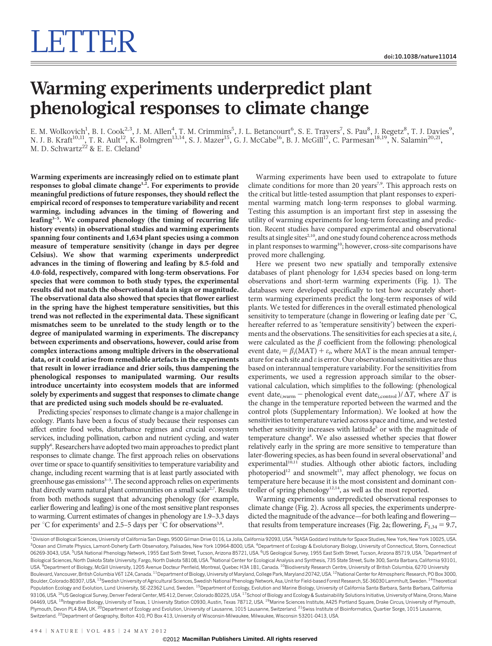## Warming experiments underpredict plant phenological responses to climate change

E. M. Wolkovich<sup>1</sup>, B. I. Cook<sup>2,3</sup>, J. M. Allen<sup>4</sup>, T. M. Crimmins<sup>5</sup>, J. L. Betancourt<sup>6</sup>, S. E. Travers<sup>7</sup>, S. Pau<sup>8</sup>, J. Regetz<sup>8</sup>, T. J. Davies<sup>9</sup>, N. J. B. Kraft $^{10,11}$ , T. R. Ault $^{12}$ , K. Bolmgren $^{13,14}$ , S. J. Mazer $^{15}$ , G. J. McCabe $^{16}$ , B. J. McGill $^{17}$ , C. Parmesan $^{18,19}$ , N. Salamin $^{20,21}$ , M. D. Schwartz $^{22}$  & E. E. Cleland $^{\rm l}$ 

Warming experiments are increasingly relied on to estimate plant responses to global climate change<sup>1,2</sup>. For experiments to provide meaningful predictions of future responses, they should reflect the empirical record of responses to temperature variability and recent warming, including advances in the timing of flowering and leafing<sup>3-5</sup>. We compared phenology (the timing of recurring life history events) in observational studies and warming experiments spanning four continents and 1,634 plant species using a common measure of temperature sensitivity (change in days per degree Celsius). We show that warming experiments underpredict advances in the timing of flowering and leafing by 8.5-fold and 4.0-fold, respectively, compared with long-term observations. For species that were common to both study types, the experimental results did not match the observational data in sign or magnitude. The observational data also showed that species that flower earliest in the spring have the highest temperature sensitivities, but this trend was not reflected in the experimental data. These significant mismatches seem to be unrelated to the study length or to the degree of manipulated warming in experiments. The discrepancy between experiments and observations, however, could arise from complex interactions among multiple drivers in the observational data, or it could arise from remediable artefacts in the experiments that result in lower irradiance and drier soils, thus dampening the phenological responses to manipulated warming. Our results introduce uncertainty into ecosystem models that are informed solely by experiments and suggest that responses to climate change that are predicted using such models should be re-evaluated.

Predicting species' responses to climate change is a major challenge in ecology. Plants have been a focus of study because their responses can affect entire food webs, disturbance regimes and crucial ecosystem services, including pollination, carbon and nutrient cycling, and water supply<sup>6</sup>. Researchers have adopted two main approaches to predict plant responses to climate change. The first approach relies on observations over time or space to quantify sensitivities to temperature variability and change, including recent warming that is at least partly associated with greenhouse gas emissions<sup>3-5</sup>. The second approach relies on experiments that directly warm natural plant communities on a small scale<sup>2,7</sup>. Results from both methods suggest that advancing phenology (for example, earlier flowering and leafing) is one of the most sensitive plant responses to warming. Current estimates of changes in phenology are 1.9–3.3 days per  $\mathrm{C}$  for experiments<sup>1</sup> and 2.5–5 days per  $\mathrm{C}$  for observations<sup>3,8</sup>.

Warming experiments have been used to extrapolate to future climate conditions for more than 20 years<sup>7,9</sup>. This approach rests on the critical but little-tested assumption that plant responses to experimental warming match long-term responses to global warming. Testing this assumption is an important first step in assessing the utility of warming experiments for long-term forecasting and prediction. Recent studies have compared experimental and observational results at single sites<sup>2,10</sup>, and one study found coherence across methods in plant responses to warming<sup>10</sup>; however, cross-site comparisons have proved more challenging.

Here we present two new spatially and temporally extensive databases of plant phenology for 1,634 species based on long-term observations and short-term warming experiments (Fig. 1). The databases were developed specifically to test how accurately shortterm warming experiments predict the long-term responses of wild plants. We tested for differences in the overall estimated phenological sensitivity to temperature (change in flowering or leafing date per  $\mathrm{C}$ , hereafter referred to as 'temperature sensitivity') between the experiments and the observations. The sensitivities for each species at a site, i, were calculated as the  $\beta$  coefficient from the following: phenological event date<sub>i</sub> =  $\beta_i$ (MAT) +  $\varepsilon_i$ , where MAT is the mean annual temperature for each site and  $\varepsilon$  is error. Our observational sensitivities are thus based on interannual temperature variability. For the sensitivities from experiments, we used a regression approach similar to the observational calculation, which simplifies to the following: (phenological event date<sub>i,warm</sub> – phenological event date<sub>i,control</sub>)/ $\Delta T$ , where  $\Delta T$  is the change in the temperature reported between the warmed and the control plots (Supplementary Information). We looked at how the sensitivities to temperature varied across space and time, and we tested whether sensitivity increases with latitude<sup>5</sup> or with the magnitude of temperature change<sup>8</sup>. We also assessed whether species that flower relatively early in the spring are more sensitive to temperature than later-flowering species, as has been found in several observational<sup>3</sup> and experimental $1^{10,11}$  studies. Although other abiotic factors, including photoperiod<sup>12</sup> and snowmelt<sup>13</sup>, may affect phenology, we focus on temperature here because it is the most consistent and dominant controller of spring phenology<sup>12,14</sup>, as well as the most reported.

Warming experiments underpredicted observational responses to climate change (Fig. 2). Across all species, the experiments underpredicted the magnitude of the advance—for both leafing and flowering that results from temperature increases (Fig. 2a; flowering,  $F_{1,34} = 9.7$ ,

<sup>1</sup> Division of Biological Sciences, University of California San Diego, 9500 Gilman Drive 0116, La Jolla, California 92093, USA. <sup>2</sup>NASA Goddard Institute for Space Studies, New York, New York 10025, USA <sup>3</sup>Ocean and Climate Physics, Lamont-Doherty Earth Observatory, Palisades, New York 10964-8000, USA. <sup>4</sup>Department of Ecology & Evolutionary Biology, University of Connecticut, Storrs, Connecticut 06269-3043, USA. <sup>5</sup>USA National Phenology Network, 1955 East Sixth Street, Tucson, Arizona 85721, USA. <sup>6</sup>US Geological Survey, 1955 East Sixth Street, Tucson, Arizona 85719, USA. <sup>7</sup>Department of Biological Sciences, North Dakota State University, Fargo, North Dakota 58108, USA. <sup>8</sup>National Center for Ecological Analysis and Synthesis, 735 State Street, Suite 300, Santa Barbara, California 93101 USA. <sup>9</sup>Department of Biology, McGill University, 1205 Avenue Docteur Penfield, Montreal, Quebec H3A 1B1, Canada. <sup>10</sup>Biodiversity Research Centre, University of British Columbia, 6270 University Boulevard, Vancouver, British Columbia V6T 1Z4, Canada. <sup>11</sup> Department of Biology, University of Maryland, College Park, Maryland 20742, USA. <sup>12</sup>National Center for Atmospheric Research, PO Box 3000, Boulder, Colorado 80307, USA. <sup>13</sup>Swedish University of Agricultural Sciences, Swedish National Phenology Network, Asa, Unit for Field-based Forest Research, SE-36030 Lammhult, Sweden. <sup>14</sup>Theoretical Population Ecology and Evolution, Lund University, SE-22362 Lund, Sweden. <sup>15</sup>Department of Ecology, Evolution and Marine Biology, University of California Santa Barbara, Santa Barbara, California Santa Barbara, California 93106, USA. <sup>16</sup>US Geological Survey, Denver Federal Center, MS 412, Denver, Colorado 80225, USA. <sup>17</sup>School of Biology and Ecology & Sustainability Solutions Initiative, University of Maine, Orono, Maine, Orono, Maine 04469, USA. <sup>18</sup>Integrative Biology, University of Texas, 1 University Station C0930, Austin, Texas 78712, USA. <sup>19</sup>Marine Sciences Institute, A425 Portland Square, Drake Circus, University of Plymouth, Plymouth, Devon PL4 8AA, UK.<sup>20</sup>Department of Ecology and Evolution, University of Lausanne, 1015 Lausanne, Switzerland. <sup>21</sup>Swiss Institute of Bioinformatics, Quartier Sorge, 1015 Lausanne, Switzerland. <sup>22</sup>Department of Geography, Bolton 410, PO Box 413, University of Wisconsin-Milwaukee, Milwaukee, Wisconsin 53201-0413, USA.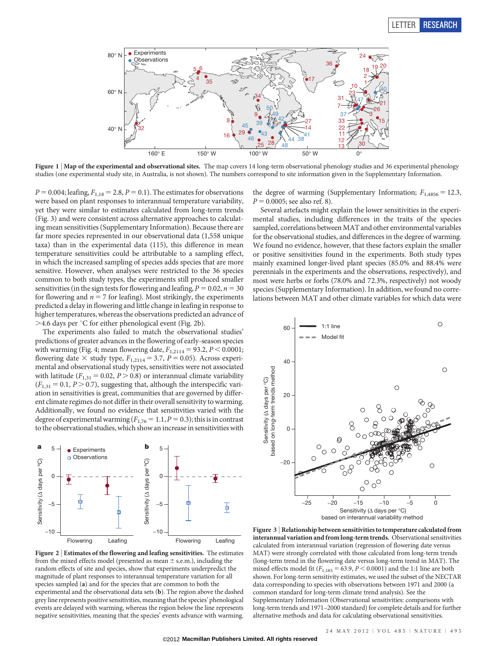## LETTER RESEARCH



Figure 1 | Map of the experimental and observational sites. The map covers 14 long-term observational phenology studies and 36 experimental phenology studies (one experimental study site, in Australia, is not shown). The numbers correspond to site information given in the Supplementary Information.

 $P = 0.004$ ; leafing,  $F_{1,18} = 2.8$ ,  $P = 0.1$ ). The estimates for observations were based on plant responses to interannual temperature variability, yet they were similar to estimates calculated from long-term trends (Fig. 3) and were consistent across alternative approaches to calculating mean sensitivities (Supplementary Information). Because there are far more species represented in our observational data (1,558 unique taxa) than in the experimental data (115), this difference in mean temperature sensitivities could be attributable to a sampling effect, in which the increased sampling of species adds species that are more sensitive. However, when analyses were restricted to the 36 species common to both study types, the experiments still produced smaller sensitivities (in the sign tests for flowering and leafing,  $P = 0.02$ ,  $n = 30$ for flowering and  $n = 7$  for leafing). Most strikingly, the experiments predicted a delay in flowering and little change in leafing in response to higher temperatures, whereas the observations predicted an advance of  $>$ 4.6 days per °C for either phenological event (Fig. 2b).

The experiments also failed to match the observational studies' predictions of greater advances in the flowering of early-season species with warming (Fig. 4; mean flowering date,  $F_{1,2114} = 93.2$ ,  $P < 0.0001$ ; flowering date  $\times$  study type,  $F_{1,2114} = 3.7$ ,  $P = 0.05$ ). Across experimental and observational study types, sensitivities were not associated with latitude ( $F_{1,31} = 0.02, P > 0.8$ ) or interannual climate variability  $(F<sub>1,31</sub> = 0.1, P > 0.7)$ , suggesting that, although the interspecific variation in sensitivities is great, communities that are governed by different climate regimes do not differ in their overall sensitivity to warming. Additionally, we found no evidence that sensitivities varied with the degree of experimental warming ( $F_{1,76} = 1.1$ ,  $P = 0.3$ ); this is in contrast to the observational studies, which show an increase in sensitivities with



Figure 2 <sup>|</sup> Estimates of the flowering and leafing sensitivities. The estimates from the mixed effects model (presented as mean  $\pm$  s.e.m.), including the random effects of site and species, show that experiments underpredict the magnitude of plant responses to interannual temperature variation for all species sampled (a) and for the species that are common to both the experimental and the observational data sets (b). The region above the dashed grey line represents positive sensitivities, meaning that the species' phenological events are delayed with warming, whereas the region below the line represents negative sensitivities, meaning that the species' events advance with warming.

the degree of warming (Supplementary Information;  $F_{1,4856} = 12.3$ ,  $P = 0.0005$ ; see also ref. 8).

Several artefacts might explain the lower sensitivities in the experimental studies, including differences in the traits of the species sampled, correlations between MAT and other environmental variables for the observational studies, and differences in the degree of warming. We found no evidence, however, that these factors explain the smaller or positive sensitivities found in the experiments. Both study types mainly examined longer-lived plant species (85.0% and 88.4% were perennials in the experiments and the observations, respectively), and most were herbs or forbs (78.0% and 72.3%, respectively) not woody species (Supplementary Information). In addition, we found no correlations between MAT and other climate variables for which data were



Figure 3 <sup>|</sup> Relationship between sensitivities to temperature calculated from interannual variation and from long-term trends. Observational sensitivities calculated from interannual variation (regression of flowering date versus MAT) were strongly correlated with those calculated from long-term trends (long-term trend in the flowering date versus long-term trend in MAT). The mixed effects model fit ( $F_{1,185} = 63.9$ ,  $P < 0.0001$ ) and the 1:1 line are both shown. For long-term sensitivity estimates, we used the subset of the NECTAR data corresponding to species with observations between 1971 and 2000 (a common standard for long-term climate trend analysis). See the Supplementary Information (Observational sensitivities: comparisons with long-term trends and 1971–2000 standard) for complete details and for further alternative methods and data for calculating observational sensitivities.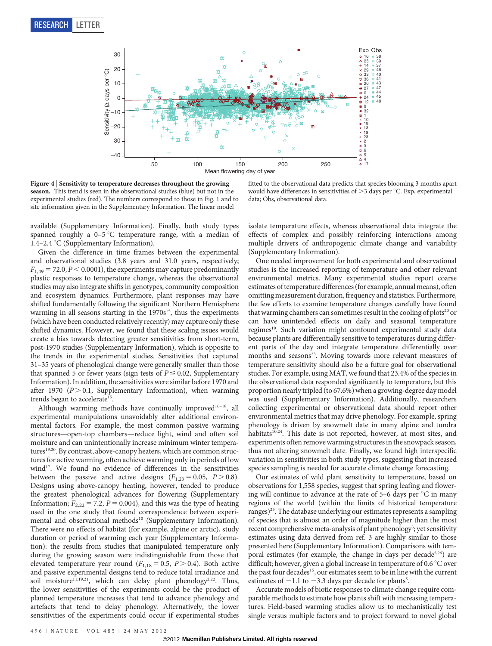

Figure 4 <sup>|</sup> Sensitivity to temperature decreases throughout the growing season. This trend is seen in the observational studies (blue) but not in the experimental studies (red). The numbers correspond to those in Fig. 1 and to site information given in the Supplementary Information. The linear model

available (Supplementary Information). Finally, both study types spanned roughly a  $0-5\degree C$  temperature range, with a median of 1.4–2.4 °C (Supplementary Information).

Given the difference in time frames between the experimental and observational studies (3.8 years and 31.0 years, respectively;  $F_{1,49} = 72.0, P \le 0.0001$ , the experiments may capture predominantly plastic responses to temperature change, whereas the observational studies may also integrate shifts in genotypes, community composition and ecosystem dynamics. Furthermore, plant responses may have shifted fundamentally following the significant Northern Hemisphere warming in all seasons starting in the  $1970s^{15}$ , thus the experiments (which have been conducted relatively recently) may capture only these shifted dynamics. However, we found that these scaling issues would create a bias towards detecting greater sensitivities from short-term, post-1970 studies (Supplementary Information), which is opposite to the trends in the experimental studies. Sensitivities that captured 31–35 years of phenological change were generally smaller than those that spanned 5 or fewer years (sign tests of  $P \le 0.02$ , Supplementary Information). In addition, the sensitivities were similar before 1970 and after 1970 ( $P > 0.1$ , Supplementary Information), when warming trends began to accelerate<sup>15</sup>.

Although warming methods have continually improved<sup>16-18</sup>, all experimental manipulations unavoidably alter additional environmental factors. For example, the most common passive warming structures—open-top chambers—reduce light, wind and often soil moisture and can unintentionally increase minimum winter temperatures<sup>19,20</sup>. By contrast, above-canopy heaters, which are common structures for active warming, often achieve warming only in periods of low wind<sup>17</sup>. We found no evidence of differences in the sensitivities between the passive and active designs  $(F_{1,23} = 0.05, P > 0.8)$ . Designs using above-canopy heating, however, tended to produce the greatest phenological advances for flowering (Supplementary Information;  $F_{2,22} = 7.2$ ,  $P = 0.004$ ), and this was the type of heating used in the one study that found correspondence between experimental and observational methods<sup>10</sup> (Supplementary Information). There were no effects of habitat (for example, alpine or arctic), study duration or period of warming each year (Supplementary Information): the results from studies that manipulated temperature only during the growing season were indistinguishable from those that elevated temperature year round ( $F_{1,18} = 0.5$ ,  $P > 0.4$ ). Both active and passive experimental designs tend to reduce total irradiance and soil moisture<sup>11,19,21</sup>, which can delay plant phenology<sup>2,22</sup>. Thus, the lower sensitivities of the experiments could be the product of planned temperature increases that tend to advance phenology and artefacts that tend to delay phenology. Alternatively, the lower sensitivities of the experiments could occur if experimental studies

fitted to the observational data predicts that species blooming 3 months apart would have differences in sensitivities of  $>$ 3 days per °C. Exp, experimental data; Obs, observational data.

isolate temperature effects, whereas observational data integrate the effects of complex and possibly reinforcing interactions among multiple drivers of anthropogenic climate change and variability (Supplementary Information).

One needed improvement for both experimental and observational studies is the increased reporting of temperature and other relevant environmental metrics. Many experimental studies report coarse estimates of temperature differences (for example, annual means), often omitting measurement duration, frequency and statistics. Furthermore, the few efforts to examine temperature changes carefully have found that warming chambers can sometimes result in the cooling of plots<sup>20</sup> or can have unintended effects on daily and seasonal temperature regimes<sup>19</sup>. Such variation might confound experimental study data because plants are differentially sensitive to temperatures during different parts of the day and integrate temperature differentially over months and seasons<sup>23</sup>. Moving towards more relevant measures of temperature sensitivity should also be a future goal for observational studies. For example, using MAT, we found that 23.4% of the species in the observational data responded significantly to temperature, but this proportion nearly tripled (to 67.6%) when a growing-degree day model was used (Supplementary Information). Additionally, researchers collecting experimental or observational data should report other environmental metrics that may drive phenology. For example, spring phenology is driven by snowmelt date in many alpine and tundra habitats<sup>10,24</sup>. This date is not reported, however, at most sites, and experiments often remove warming structures in the snowpack season, thus not altering snowmelt date. Finally, we found high interspecific variation in sensitivities in both study types, suggesting that increased species sampling is needed for accurate climate change forecasting.

Our estimates of wild plant sensitivity to temperature, based on observations for 1,558 species, suggest that spring leafing and flowering will continue to advance at the rate of  $5-6$  days per  $\mathrm{C}$  in many regions of the world (within the limits of historical temperature ranges)<sup>25</sup>. The database underlying our estimates represents a sampling of species that is almost an order of magnitude higher than the most recent comprehensive meta-analysis of plant phenology<sup>3</sup>; yet sensitivity estimates using data derived from ref. 3 are highly similar to those presented here (Supplementary Information). Comparisons with temporal estimates (for example, the change in days per decade<sup>5,26</sup>) are difficult; however, given a global increase in temperature of  $0.6\degree C$  over the past four decades<sup>15</sup>, our estimates seem to be in line with the current estimates of  $-1.1$  to  $-3.3$  days per decade for plants<sup>5</sup>.

Accurate models of biotic responses to climate change require comparable methods to estimate how plants shift with increasing temperatures. Field-based warming studies allow us to mechanistically test single versus multiple factors and to project forward to novel global